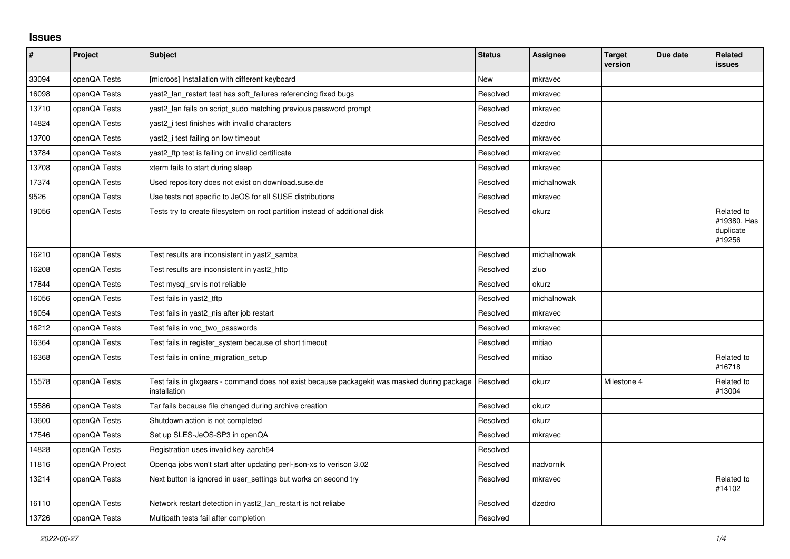## **Issues**

| $\sharp$ | <b>Project</b> | <b>Subject</b>                                                                                               | <b>Status</b> | <b>Assignee</b> | <b>Target</b><br>version | Due date | Related<br>issues                                |
|----------|----------------|--------------------------------------------------------------------------------------------------------------|---------------|-----------------|--------------------------|----------|--------------------------------------------------|
| 33094    | openQA Tests   | [microos] Installation with different keyboard                                                               | New           | mkravec         |                          |          |                                                  |
| 16098    | openQA Tests   | yast2_lan_restart test has soft_failures referencing fixed bugs                                              | Resolved      | mkravec         |                          |          |                                                  |
| 13710    | openQA Tests   | yast2_lan fails on script_sudo matching previous password prompt                                             | Resolved      | mkravec         |                          |          |                                                  |
| 14824    | openQA Tests   | yast2 i test finishes with invalid characters                                                                | Resolved      | dzedro          |                          |          |                                                  |
| 13700    | openQA Tests   | yast2_i test failing on low timeout                                                                          | Resolved      | mkravec         |                          |          |                                                  |
| 13784    | openQA Tests   | yast2_ftp test is failing on invalid certificate                                                             | Resolved      | mkravec         |                          |          |                                                  |
| 13708    | openQA Tests   | xterm fails to start during sleep                                                                            | Resolved      | mkravec         |                          |          |                                                  |
| 17374    | openQA Tests   | Used repository does not exist on download.suse.de                                                           | Resolved      | michalnowak     |                          |          |                                                  |
| 9526     | openQA Tests   | Use tests not specific to JeOS for all SUSE distributions                                                    | Resolved      | mkravec         |                          |          |                                                  |
| 19056    | openQA Tests   | Tests try to create filesystem on root partition instead of additional disk                                  | Resolved      | okurz           |                          |          | Related to<br>#19380, Has<br>duplicate<br>#19256 |
| 16210    | openQA Tests   | Test results are inconsistent in yast2 samba                                                                 | Resolved      | michalnowak     |                          |          |                                                  |
| 16208    | openQA Tests   | Test results are inconsistent in yast2 http                                                                  | Resolved      | zluo            |                          |          |                                                  |
| 17844    | openQA Tests   | Test mysql_srv is not reliable                                                                               | Resolved      | okurz           |                          |          |                                                  |
| 16056    | openQA Tests   | Test fails in yast2_tftp                                                                                     | Resolved      | michalnowak     |                          |          |                                                  |
| 16054    | openQA Tests   | Test fails in yast2 nis after job restart                                                                    | Resolved      | mkravec         |                          |          |                                                  |
| 16212    | openQA Tests   | Test fails in vnc two passwords                                                                              | Resolved      | mkravec         |                          |          |                                                  |
| 16364    | openQA Tests   | Test fails in register_system because of short timeout                                                       | Resolved      | mitiao          |                          |          |                                                  |
| 16368    | openQA Tests   | Test fails in online_migration_setup                                                                         | Resolved      | mitiao          |                          |          | Related to<br>#16718                             |
| 15578    | openQA Tests   | Test fails in glxgears - command does not exist because packagekit was masked during package<br>installation | Resolved      | okurz           | Milestone 4              |          | Related to<br>#13004                             |
| 15586    | openQA Tests   | Tar fails because file changed during archive creation                                                       | Resolved      | okurz           |                          |          |                                                  |
| 13600    | openQA Tests   | Shutdown action is not completed                                                                             | Resolved      | okurz           |                          |          |                                                  |
| 17546    | openQA Tests   | Set up SLES-JeOS-SP3 in openQA                                                                               | Resolved      | mkravec         |                          |          |                                                  |
| 14828    | openQA Tests   | Registration uses invalid key aarch64                                                                        | Resolved      |                 |                          |          |                                                  |
| 11816    | openQA Project | Openqa jobs won't start after updating perl-json-xs to verison 3.02                                          | Resolved      | nadvornik       |                          |          |                                                  |
| 13214    | openQA Tests   | Next button is ignored in user_settings but works on second try                                              | Resolved      | mkravec         |                          |          | Related to<br>#14102                             |
| 16110    | openQA Tests   | Network restart detection in yast2_lan_restart is not reliabe                                                | Resolved      | dzedro          |                          |          |                                                  |
| 13726    | openQA Tests   | Multipath tests fail after completion                                                                        | Resolved      |                 |                          |          |                                                  |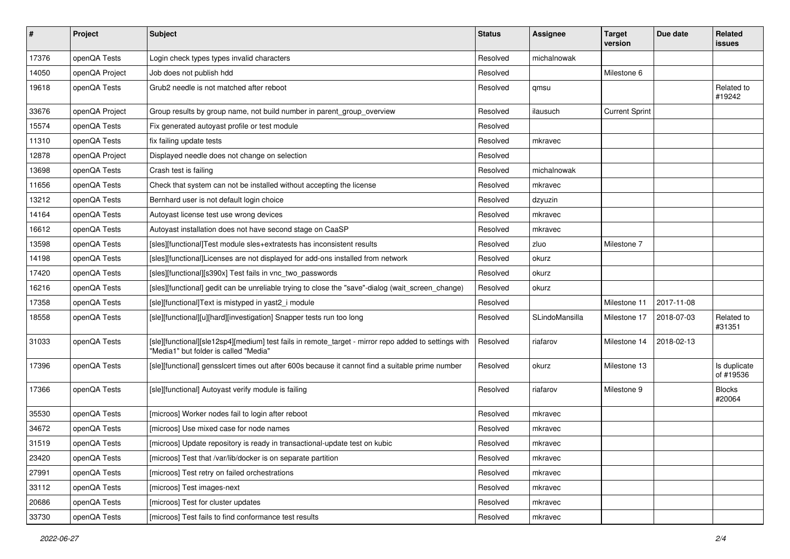| $\sharp$ | Project        | <b>Subject</b>                                                                                                                                | <b>Status</b> | <b>Assignee</b> | <b>Target</b><br>version | Due date   | Related<br><b>issues</b>  |
|----------|----------------|-----------------------------------------------------------------------------------------------------------------------------------------------|---------------|-----------------|--------------------------|------------|---------------------------|
| 17376    | openQA Tests   | Login check types types invalid characters                                                                                                    | Resolved      | michalnowak     |                          |            |                           |
| 14050    | openQA Project | Job does not publish hdd                                                                                                                      | Resolved      |                 | Milestone 6              |            |                           |
| 19618    | openQA Tests   | Grub2 needle is not matched after reboot                                                                                                      | Resolved      | qmsu            |                          |            | Related to<br>#19242      |
| 33676    | openQA Project | Group results by group name, not build number in parent_group_overview                                                                        | Resolved      | ilausuch        | <b>Current Sprint</b>    |            |                           |
| 15574    | openQA Tests   | Fix generated autoyast profile or test module                                                                                                 | Resolved      |                 |                          |            |                           |
| 11310    | openQA Tests   | fix failing update tests                                                                                                                      | Resolved      | mkravec         |                          |            |                           |
| 12878    | openQA Project | Displayed needle does not change on selection                                                                                                 | Resolved      |                 |                          |            |                           |
| 13698    | openQA Tests   | Crash test is failing                                                                                                                         | Resolved      | michalnowak     |                          |            |                           |
| 11656    | openQA Tests   | Check that system can not be installed without accepting the license                                                                          | Resolved      | mkravec         |                          |            |                           |
| 13212    | openQA Tests   | Bernhard user is not default login choice                                                                                                     | Resolved      | dzyuzin         |                          |            |                           |
| 14164    | openQA Tests   | Autoyast license test use wrong devices                                                                                                       | Resolved      | mkravec         |                          |            |                           |
| 16612    | openQA Tests   | Autoyast installation does not have second stage on CaaSP                                                                                     | Resolved      | mkravec         |                          |            |                           |
| 13598    | openQA Tests   | [sles][functional]Test module sles+extratests has inconsistent results                                                                        | Resolved      | zluo            | Milestone 7              |            |                           |
| 14198    | openQA Tests   | [sles][functional]Licenses are not displayed for add-ons installed from network                                                               | Resolved      | okurz           |                          |            |                           |
| 17420    | openQA Tests   | [sles][functional][s390x] Test fails in vnc_two_passwords                                                                                     | Resolved      | okurz           |                          |            |                           |
| 16216    | openQA Tests   | [sles][functional] gedit can be unreliable trying to close the "save"-dialog (wait_screen_change)                                             | Resolved      | okurz           |                          |            |                           |
| 17358    | openQA Tests   | [sle][functional]Text is mistyped in yast2_i module                                                                                           | Resolved      |                 | Milestone 11             | 2017-11-08 |                           |
| 18558    | openQA Tests   | [sle][functional][u][hard][investigation] Snapper tests run too long                                                                          | Resolved      | SLindoMansilla  | Milestone 17             | 2018-07-03 | Related to<br>#31351      |
| 31033    | openQA Tests   | [sle][functional][sle12sp4][medium] test fails in remote_target - mirror repo added to settings with<br>"Media1" but folder is called "Media" | Resolved      | riafarov        | Milestone 14             | 2018-02-13 |                           |
| 17396    | openQA Tests   | [sle][functional] gensslcert times out after 600s because it cannot find a suitable prime number                                              | Resolved      | okurz           | Milestone 13             |            | Is duplicate<br>of #19536 |
| 17366    | openQA Tests   | [sle][functional] Autoyast verify module is failing                                                                                           | Resolved      | riafarov        | Milestone 9              |            | <b>Blocks</b><br>#20064   |
| 35530    | openQA Tests   | [microos] Worker nodes fail to login after reboot                                                                                             | Resolved      | mkravec         |                          |            |                           |
| 34672    | openQA Tests   | [microos] Use mixed case for node names                                                                                                       | Resolved      | mkravec         |                          |            |                           |
| 31519    | openQA Tests   | [microos] Update repository is ready in transactional-update test on kubic                                                                    | Resolved      | mkravec         |                          |            |                           |
| 23420    | openQA Tests   | [microos] Test that /var/lib/docker is on separate partition                                                                                  | Resolved      | mkravec         |                          |            |                           |
| 27991    | openQA Tests   | [microos] Test retry on failed orchestrations                                                                                                 | Resolved      | mkravec         |                          |            |                           |
| 33112    | openQA Tests   | [microos] Test images-next                                                                                                                    | Resolved      | mkravec         |                          |            |                           |
| 20686    | openQA Tests   | [microos] Test for cluster updates                                                                                                            | Resolved      | mkravec         |                          |            |                           |
| 33730    | openQA Tests   | [microos] Test fails to find conformance test results                                                                                         | Resolved      | mkravec         |                          |            |                           |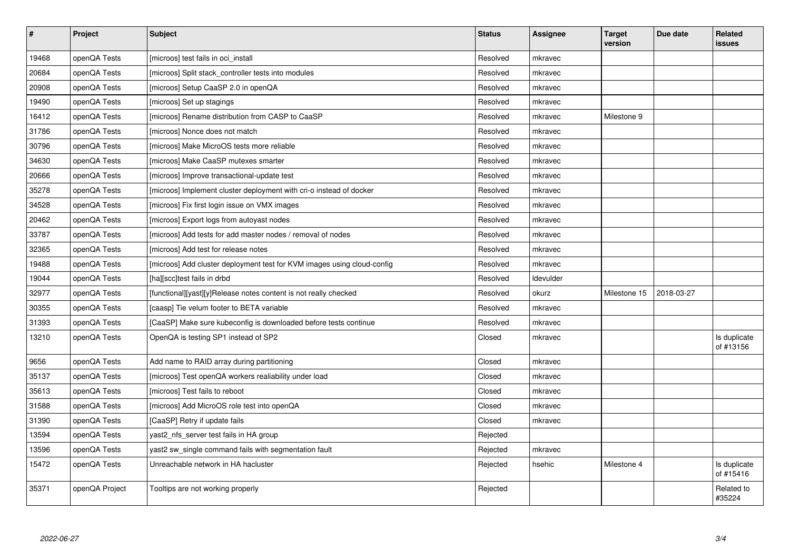| $\pmb{\#}$ | Project        | <b>Subject</b>                                                          | <b>Status</b> | Assignee  | <b>Target</b><br>version | Due date   | Related<br>issues         |
|------------|----------------|-------------------------------------------------------------------------|---------------|-----------|--------------------------|------------|---------------------------|
| 19468      | openQA Tests   | [microos] test fails in oci install                                     | Resolved      | mkravec   |                          |            |                           |
| 20684      | openQA Tests   | [microos] Split stack controller tests into modules                     | Resolved      | mkravec   |                          |            |                           |
| 20908      | openQA Tests   | [microos] Setup CaaSP 2.0 in openQA                                     | Resolved      | mkravec   |                          |            |                           |
| 19490      | openQA Tests   | [microos] Set up stagings                                               | Resolved      | mkravec   |                          |            |                           |
| 16412      | openQA Tests   | [microos] Rename distribution from CASP to CaaSP                        | Resolved      | mkravec   | Milestone 9              |            |                           |
| 31786      | openQA Tests   | [microos] Nonce does not match                                          | Resolved      | mkravec   |                          |            |                           |
| 30796      | openQA Tests   | [microos] Make MicroOS tests more reliable                              | Resolved      | mkravec   |                          |            |                           |
| 34630      | openQA Tests   | [microos] Make CaaSP mutexes smarter                                    | Resolved      | mkravec   |                          |            |                           |
| 20666      | openQA Tests   | [microos] Improve transactional-update test                             | Resolved      | mkravec   |                          |            |                           |
| 35278      | openQA Tests   | [microos] Implement cluster deployment with cri-o instead of docker     | Resolved      | mkravec   |                          |            |                           |
| 34528      | openQA Tests   | [microos] Fix first login issue on VMX images                           | Resolved      | mkravec   |                          |            |                           |
| 20462      | openQA Tests   | [microos] Export logs from autoyast nodes                               | Resolved      | mkravec   |                          |            |                           |
| 33787      | openQA Tests   | [microos] Add tests for add master nodes / removal of nodes             | Resolved      | mkravec   |                          |            |                           |
| 32365      | openQA Tests   | [microos] Add test for release notes                                    | Resolved      | mkravec   |                          |            |                           |
| 19488      | openQA Tests   | [microos] Add cluster deployment test for KVM images using cloud-config | Resolved      | mkravec   |                          |            |                           |
| 19044      | openQA Tests   | [ha][scc]test fails in drbd                                             | Resolved      | Idevulder |                          |            |                           |
| 32977      | openQA Tests   | [functional][yast][y]Release notes content is not really checked        | Resolved      | okurz     | Milestone 15             | 2018-03-27 |                           |
| 30355      | openQA Tests   | [caasp] Tie velum footer to BETA variable                               | Resolved      | mkravec   |                          |            |                           |
| 31393      | openQA Tests   | [CaaSP] Make sure kubeconfig is downloaded before tests continue        | Resolved      | mkravec   |                          |            |                           |
| 13210      | openQA Tests   | OpenQA is testing SP1 instead of SP2                                    | Closed        | mkravec   |                          |            | Is duplicate<br>of #13156 |
| 9656       | openQA Tests   | Add name to RAID array during partitioning                              | Closed        | mkravec   |                          |            |                           |
| 35137      | openQA Tests   | [microos] Test openQA workers realiability under load                   | Closed        | mkravec   |                          |            |                           |
| 35613      | openQA Tests   | [microos] Test fails to reboot                                          | Closed        | mkravec   |                          |            |                           |
| 31588      | openQA Tests   | [microos] Add MicroOS role test into openQA                             | Closed        | mkravec   |                          |            |                           |
| 31390      | openQA Tests   | [CaaSP] Retry if update fails                                           | Closed        | mkravec   |                          |            |                           |
| 13594      | openQA Tests   | yast2 nfs server test fails in HA group                                 | Rejected      |           |                          |            |                           |
| 13596      | openQA Tests   | yast2 sw single command fails with segmentation fault                   | Rejected      | mkravec   |                          |            |                           |
| 15472      | openQA Tests   | Unreachable network in HA hacluster                                     | Rejected      | hsehic    | Milestone 4              |            | Is duplicate<br>of #15416 |
| 35371      | openQA Project | Tooltips are not working properly                                       | Rejected      |           |                          |            | Related to<br>#35224      |